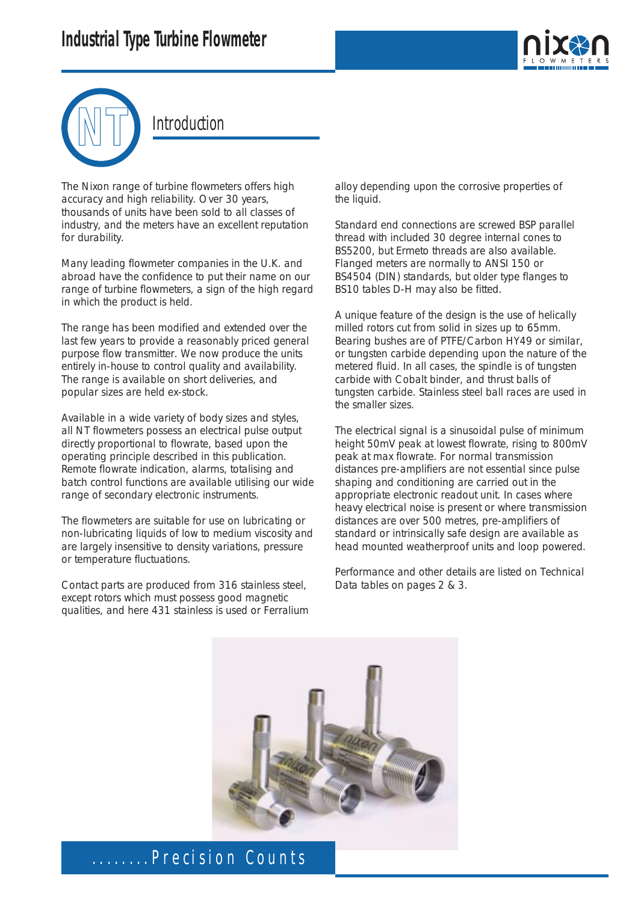



#### Introduction

The Nixon range of turbine flowmeters offers high accuracy and high reliability. Over 30 years, thousands of units have been sold to all classes of industry, and the meters have an excellent reputation for durability.

Many leading flowmeter companies in the U.K. and abroad have the confidence to put their name on our range of turbine flowmeters, a sign of the high regard in which the product is held.

The range has been modified and extended over the last few years to provide a reasonably priced general purpose flow transmitter. We now produce the units entirely in-house to control quality and availability. The range is available on short deliveries, and popular sizes are held ex-stock.

Available in a wide variety of body sizes and styles, all NT flowmeters possess an electrical pulse output directly proportional to flowrate, based upon the operating principle described in this publication. Remote flowrate indication, alarms, totalising and batch control functions are available utilising our wide range of secondary electronic instruments.

The flowmeters are suitable for use on lubricating or non-lubricating liquids of low to medium viscosity and are largely insensitive to density variations, pressure or temperature fluctuations.

Contact parts are produced from 316 stainless steel, except rotors which must possess good magnetic qualities, and here 431 stainless is used or Ferralium alloy depending upon the corrosive properties of the liquid.

Standard end connections are screwed BSP parallel thread with included 30 degree internal cones to BS5200, but Ermeto threads are also available. Flanged meters are normally to ANSI 150 or BS4504 (DIN) standards, but older type flanges to BS10 tables D-H may also be fitted.

A unique feature of the design is the use of helically milled rotors cut from solid in sizes up to 65mm. Bearing bushes are of PTFE/Carbon HY49 or similar, or tungsten carbide depending upon the nature of the metered fluid. In all cases, the spindle is of tungsten carbide with Cobalt binder, and thrust balls of tungsten carbide. Stainless steel ball races are used in the smaller sizes.

The electrical signal is a sinusoidal pulse of minimum height 50mV peak at lowest flowrate, rising to 800mV peak at max flowrate. For normal transmission distances pre-amplifiers are not essential since pulse shaping and conditioning are carried out in the appropriate electronic readout unit. In cases where heavy electrical noise is present or where transmission distances are over 500 metres, pre-amplifiers of standard or intrinsically safe design are available as head mounted weatherproof units and loop powered.

Performance and other details are listed on Technical Data tables on pages 2 & 3.

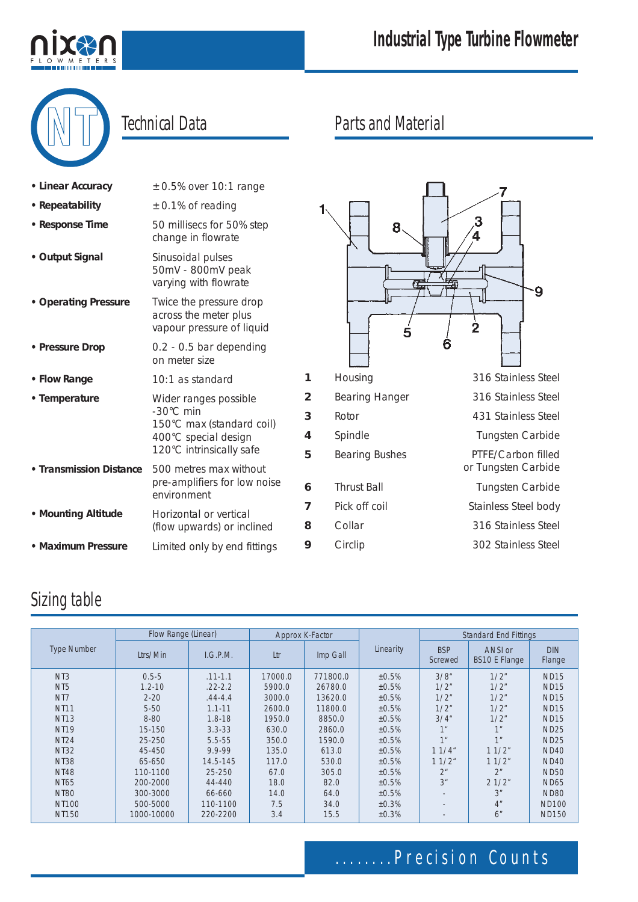

# **Industrial Type Turbine Flowmeter**

# **Technical Data**

| $\pm 0.5\%$ over 10:1 range                                                                                         |             |
|---------------------------------------------------------------------------------------------------------------------|-------------|
| $\pm$ 0.1% of reading                                                                                               |             |
| 50 millisecs for 50% step<br>change in flowrate                                                                     |             |
| Sinusoidal pulses<br>50mV - 800mV peak<br>varying with flowrate                                                     |             |
| Twice the pressure drop<br>across the meter plus<br>vapour pressure of liquid                                       |             |
| 0.2 - 0.5 bar depending<br>on meter size                                                                            |             |
| 10:1 as standard                                                                                                    |             |
| Wider ranges possible<br>-30°C min<br>150°C max (standard coil)<br>400°C special design<br>120°C intrinsically safe | í<br>۷<br>Ę |
| 500 metres max without<br>pre-amplifiers for low noise<br>environment                                               | ć           |
| Horizontal or vertical<br>(flow upwards) or inclined                                                                | ξ           |
| Limited only by end fittings                                                                                        | ¢           |
|                                                                                                                     |             |

## Parts and Material



# Sizing table

|                    |            | Flow Range (Linear) |         | Approx K-Factor |           | <b>Standard End Fittings</b> |                                 |                      |
|--------------------|------------|---------------------|---------|-----------------|-----------|------------------------------|---------------------------------|----------------------|
| <b>Type Number</b> | Ltrs/Min   | I.G.P.M.            | Ltr     | Imp Gall        | Linearity | <b>BSP</b><br>Screwed        | ANSI or<br><b>BS10 E Flange</b> | <b>DIN</b><br>Flange |
| N <sub>T</sub> 3   | $0.5 - 5$  | $.11 - 1.1$         | 17000.0 | 771800.0        | ±0.5%     | 3/8''                        | 1/2"                            | <b>ND15</b>          |
| N <sub>T5</sub>    | $1.2 - 10$ | $.22 - 2.2$         | 5900.0  | 26780.0         | ±0.5%     | 1/2"                         | 1/2"                            | <b>ND15</b>          |
| N <sub>T</sub>     | $2 - 20$   | $.44 - 4.4$         | 3000.0  | 13620.0         | ±0.5%     | 1/2"                         | 1/2"                            | <b>ND15</b>          |
| <b>NT11</b>        | $5 - 50$   | $1.1 - 11$          | 2600.0  | 11800.0         | ±0.5%     | 1/2"                         | 1/2"                            | <b>ND15</b>          |
| <b>NT13</b>        | $8 - 80$   | $1.8 - 18$          | 1950.0  | 8850.0          | ±0.5%     | $3/4$ "                      | 1/2"                            | <b>ND15</b>          |
| <b>NT19</b>        | 15-150     | $3.3 - 33$          | 630.0   | 2860.0          | ±0.5%     | 1 <sup>u</sup>               | 1"                              | <b>ND25</b>          |
| <b>NT24</b>        | 25-250     | $5.5 - 55$          | 350.0   | 1590.0          | ±0.5%     | 1 <sup>u</sup>               | 1 <sup>n</sup>                  | <b>ND25</b>          |
| <b>NT32</b>        | 45-450     | 9.9-99              | 135.0   | 613.0           | ±0.5%     | 11/4"                        | 11/2"                           | <b>ND40</b>          |
| <b>NT38</b>        | 65-650     | 14.5-145            | 117.0   | 530.0           | ±0.5%     | 11/2"                        | 11/2"                           | <b>ND40</b>          |
| <b>NT48</b>        | 110-1100   | $25 - 250$          | 67.0    | 305.0           | ±0.5%     | 2 <sup>u</sup>               | 2 <sup>n</sup>                  | <b>ND50</b>          |
| <b>NT65</b>        | 200-2000   | 44-440              | 18.0    | 82.0            | ±0.5%     | 3 <sup>u</sup>               | 21/2"                           | <b>ND65</b>          |
| <b>NT80</b>        | 300-3000   | 66-660              | 14.0    | 64.0            | ±0.5%     |                              | 3 <sup>n</sup>                  | <b>ND80</b>          |
| <b>NT100</b>       | 500-5000   | 110-1100            | 7.5     | 34.0            | ±0.3%     |                              | 4 <sup>n</sup>                  | <b>ND100</b>         |
| <b>NT150</b>       | 1000-10000 | 220-2200            | 3.4     | 15.5            | ±0.3%     | $\overline{\phantom{a}}$     | 6"                              | <b>ND150</b>         |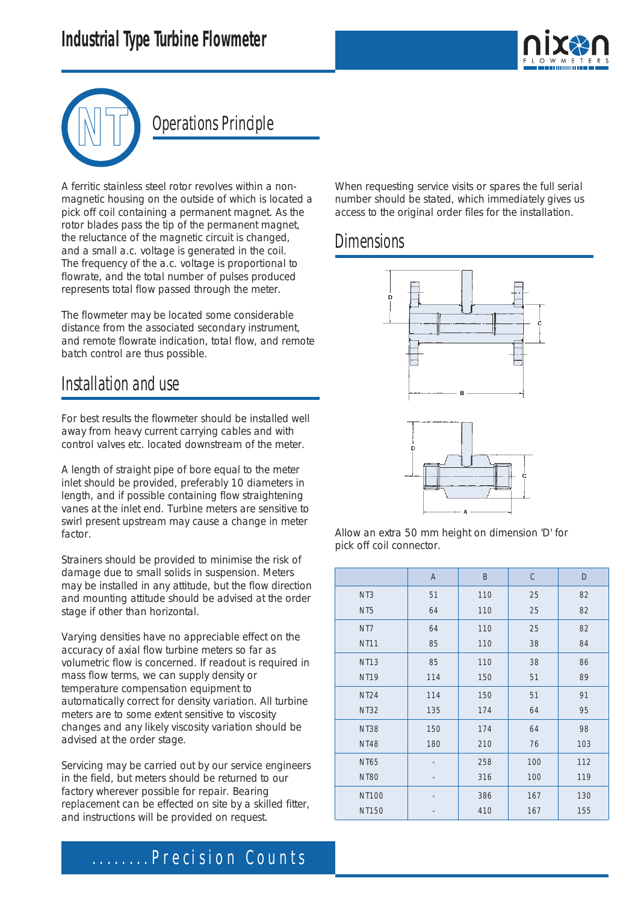# **Industrial Type Turbine Flowmeter**





# **Operations Principle**

A ferritic stainless steel rotor revolves within a nonmagnetic housing on the outside of which is located a pick off coil containing a permanent magnet. As the rotor blades pass the tip of the permanent magnet, the reluctance of the magnetic circuit is changed, and a small a.c. voltage is generated in the coil. The frequency of the a.c. voltage is proportional to flowrate, and the total number of pulses produced represents total flow passed through the meter.

The flowmeter may be located some considerable distance from the associated secondary instrument, and remote flowrate indication, total flow, and remote batch control are thus possible.

#### Installation and use

For best results the flowmeter should be installed well away from heavy current carrying cables and with control valves etc. located downstream of the meter.

A length of straight pipe of bore equal to the meter inlet should be provided, preferably 10 diameters in length, and if possible containing flow straightening vanes at the inlet end. Turbine meters are sensitive to swirl present upstream may cause a change in meter factor.

Strainers should be provided to minimise the risk of damage due to small solids in suspension. Meters may be installed in any attitude, but the flow direction and mounting attitude should be advised at the order stage if other than horizontal.

Varying densities have no appreciable effect on the accuracy of axial flow turbine meters so far as volumetric flow is concerned. If readout is required in mass flow terms, we can supply density or temperature compensation equipment to automatically correct for density variation. All turbine meters are to some extent sensitive to viscosity changes and any likely viscosity variation should be advised at the order stage.

Servicing may be carried out by our service engineers in the field, but meters should be returned to our factory wherever possible for repair. Bearing replacement can be effected on site by a skilled fitter, and instructions will be provided on request.

When requesting service visits or spares the full serial number should be stated, which immediately gives us access to the original order files for the installation.

### **Dimensions**



Allow an extra 50 mm height on dimension 'D' for pick off coil connector.

|                  | A   | B   | $\mathsf C$ | D   |
|------------------|-----|-----|-------------|-----|
| N <sub>T</sub> 3 | 51  | 110 | 25          | 82  |
| NT <sub>5</sub>  | 64  | 110 | 25          | 82  |
| N <sub>T</sub>   | 64  | 110 | 25          | 82  |
| <b>NT11</b>      | 85  | 110 | 38          | 84  |
| <b>NT13</b>      | 85  | 110 | 38          | 86  |
| <b>NT19</b>      | 114 | 150 | 51          | 89  |
| <b>NT24</b>      | 114 | 150 | 51          | 91  |
| <b>NT32</b>      | 135 | 174 | 64          | 95  |
| <b>NT38</b>      | 150 | 174 | 64          | 98  |
| <b>NT48</b>      | 180 | 210 | 76          | 103 |
| <b>NT65</b>      |     | 258 | 100         | 112 |
| <b>NT80</b>      |     | 316 | 100         | 119 |
| <b>NT100</b>     |     | 386 | 167         | 130 |
| <b>NT150</b>     |     | 410 | 167         | 155 |